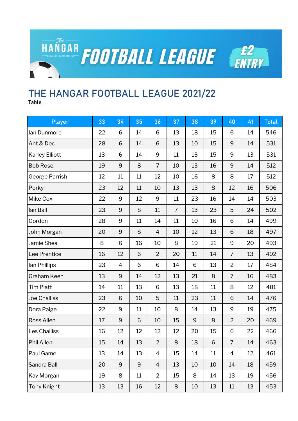

## **THE HANGAR FOOTBALL LEAGUE 2021/22**

**Table**

| Player                | 33 | 34             | 35 | 36             | 37             | 38 | 39 | 40             | 41 | <b>Total</b> |
|-----------------------|----|----------------|----|----------------|----------------|----|----|----------------|----|--------------|
| lan Dunmore           | 22 | 6              | 14 | 6              | 13             | 18 | 15 | 6              | 14 | 546          |
| Ant & Dec             | 28 | 6              | 14 | 6              | 13             | 10 | 15 | 9              | 14 | 531          |
| <b>Karley Elliott</b> | 13 | 6              | 14 | 9              | 11             | 13 | 15 | 9              | 13 | 531          |
| <b>Bob Rose</b>       | 19 | 9              | 8  | 7              | 10             | 13 | 16 | 9              | 14 | 512          |
| George Parrish        | 12 | 11             | 11 | 12             | 10             | 16 | 8  | 8              | 17 | 512          |
| Porky                 | 23 | 12             | 11 | 10             | 13             | 13 | 8  | 12             | 16 | 506          |
| Mike Cox              | 22 | 9              | 12 | 9              | 11             | 23 | 16 | 14             | 14 | 503          |
| lan Ball              | 23 | 9              | 8  | 11             | $\overline{7}$ | 13 | 23 | 5              | 24 | 502          |
| Gordon                | 28 | 9              | 11 | 14             | 11             | 10 | 16 | 6              | 14 | 499          |
| John Morgan           | 20 | 9              | 8  | $\overline{4}$ | 10             | 12 | 13 | 6              | 18 | 497          |
| Jamie Shea            | 8  | 6              | 16 | 10             | 8              | 19 | 21 | 9              | 20 | 493          |
| Lee Prentice          | 16 | 12             | 6  | $\overline{2}$ | 20             | 11 | 14 | $\overline{7}$ | 13 | 492          |
| lan Phillips          | 23 | $\overline{4}$ | 6  | 6              | 14             | 6  | 13 | $\overline{2}$ | 17 | 484          |
| Graham Keen           | 13 | 9              | 14 | 12             | 13             | 21 | 8  | $\overline{7}$ | 16 | 483          |
| <b>Tim Platt</b>      | 14 | 11             | 13 | 6              | 13             | 18 | 11 | 8              | 12 | 481          |
| <b>Joe Challiss</b>   | 23 | 6              | 10 | 5              | 11             | 23 | 11 | 6              | 14 | 476          |
| Dora Paige            | 22 | 9              | 11 | 10             | 8              | 14 | 13 | 9              | 19 | 475          |
| <b>Ross Allen</b>     | 17 | 9              | 6  | 10             | 15             | 9  | 8  | $\overline{2}$ | 20 | 469          |
| Les Challiss          | 16 | 12             | 12 | 12             | 12             | 20 | 15 | 6              | 22 | 466          |
| Phil Allen            | 15 | 14             | 13 | $\overline{2}$ | 8              | 18 | 6  | $\overline{7}$ | 14 | 463          |
| Paul Game             | 13 | 14             | 13 | 4              | 15             | 14 | 11 | $\overline{4}$ | 12 | 461          |
| Sandra Ball           | 20 | 9              | 9  | $\overline{4}$ | 13             | 10 | 10 | 14             | 18 | 459          |
| Kay Morgan            | 19 | 8              | 11 | $\overline{2}$ | 15             | 8  | 14 | 13             | 19 | 456          |
| Tony Knight           | 13 | 13             | 16 | 12             | 8              | 10 | 13 | $11\,$         | 13 | 453          |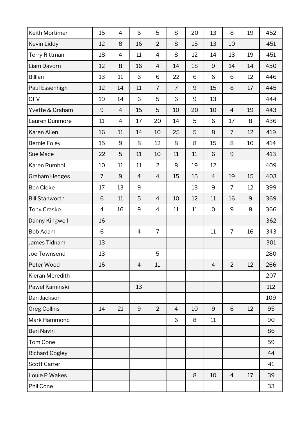| Keith Mortimer        | 15             | $\overline{4}$ | 6              | 5              | 8              | 20 | 13             | 8              | 19 | 452 |
|-----------------------|----------------|----------------|----------------|----------------|----------------|----|----------------|----------------|----|-----|
| Kevin Liddy           | 12             | 8              | 16             | $\overline{2}$ | 8              | 15 | 13             | 10             |    | 451 |
| <b>Terry Rittman</b>  | 18             | $\overline{4}$ | 11             | 4              | 8              | 12 | 14             | 13             | 19 | 451 |
| Liam Davorn           | 12             | 8              | 16             | $\overline{4}$ | 14             | 18 | 9              | 14             | 14 | 450 |
| <b>Billian</b>        | 13             | 11             | 6              | 6              | 22             | 6  | 6              | 6              | 12 | 446 |
| Paul Essenhigh        | 12             | 14             | 11             | $\overline{7}$ | $\overline{7}$ | 9  | 15             | 8              | 17 | 445 |
| <b>OFV</b>            | 19             | 14             | 6              | 5              | 6              | 9  | 13             |                |    | 444 |
| Yvette & Graham       | 9              | $\overline{4}$ | 15             | 5              | 10             | 20 | 10             | $\overline{4}$ | 19 | 443 |
| Lauren Dunmore        | 11             | $\overline{4}$ | 17             | 20             | 14             | 5  | 6              | 17             | 8  | 436 |
| Karen Allen           | 16             | 11             | 14             | 10             | 25             | 5  | 8              | $\overline{7}$ | 12 | 419 |
| <b>Bernie Foley</b>   | 15             | 9              | 8              | 12             | 8              | 8  | 15             | 8              | 10 | 414 |
| Sue Mace              | 22             | 5              | 11             | 10             | 11             | 11 | 6              | 9              |    | 413 |
| Karen Rumbol          | 10             | 11             | 11             | $\overline{2}$ | 8              | 19 | 12             |                |    | 409 |
| <b>Graham Hedges</b>  | $\overline{7}$ | 9              | $\overline{4}$ | $\overline{4}$ | 15             | 15 | $\overline{4}$ | 19             | 15 | 403 |
| <b>Ben Cloke</b>      | 17             | 13             | 9              |                |                | 13 | 9              | $\overline{7}$ | 12 | 399 |
| <b>Bill Stanworth</b> | 6              | 11             | 5              | $\overline{4}$ | 10             | 12 | 11             | 16             | 9  | 369 |
| <b>Tony Craske</b>    | $\overline{4}$ | 16             | 9              | $\overline{4}$ | 11             | 11 | $\mathbf{O}$   | 9              | 8  | 366 |
| Danny Kingwell        | 16             |                |                |                |                |    |                |                |    | 362 |
| <b>Bob Adam</b>       | 6              |                | $\overline{4}$ | $\overline{7}$ |                |    | 11             | $\overline{7}$ | 16 | 343 |
| James Tidnam          | 13             |                |                |                |                |    |                |                |    | 301 |
| Joe Townsend          | 13             |                |                | 5              |                |    |                |                |    | 280 |
| Peter Wood            | 16             |                | $\overline{4}$ | 11             |                |    | $\overline{4}$ | $\overline{2}$ | 12 | 266 |
| Kieran Meredith       |                |                |                |                |                |    |                |                |    | 207 |
| Pawel Kaminski        |                |                | 13             |                |                |    |                |                |    | 112 |
| Dan Jackson           |                |                |                |                |                |    |                |                |    | 109 |
| <b>Greg Collins</b>   | 14             | 21             | 9              | $\overline{2}$ | $\overline{4}$ | 10 | 9              | 6              | 12 | 95  |
| Mark Hammond          |                |                |                |                | 6              | 8  | 11             |                |    | 90  |
| <b>Ben Navin</b>      |                |                |                |                |                |    |                |                |    | 86  |
| Tom Cone              |                |                |                |                |                |    |                |                |    | 59  |
| <b>Richard Cogley</b> |                |                |                |                |                |    |                |                |    | 44  |
| <b>Scott Carter</b>   |                |                |                |                |                |    |                |                |    | 41  |
| Louie P Wakes         |                |                |                |                |                | 8  | 10             | $\overline{4}$ | 17 | 39  |
| Phil Cone             |                |                |                |                |                |    |                |                |    | 33  |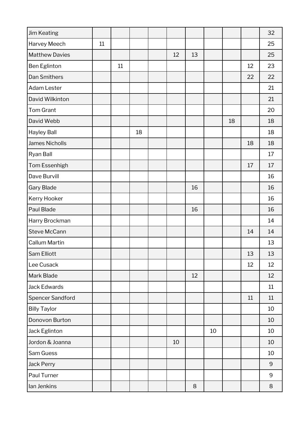| <b>Jim Keating</b>    |    |    |    |    |        |    |    |    | 32      |
|-----------------------|----|----|----|----|--------|----|----|----|---------|
| Harvey Meech          | 11 |    |    |    |        |    |    |    | 25      |
| <b>Matthew Davies</b> |    |    |    | 12 | 13     |    |    |    | 25      |
| Ben Eglinton          |    | 11 |    |    |        |    |    | 12 | 23      |
| <b>Dan Smithers</b>   |    |    |    |    |        |    |    | 22 | 22      |
| Adam Lester           |    |    |    |    |        |    |    |    | 21      |
| David Wilkinton       |    |    |    |    |        |    |    |    | 21      |
| Tom Grant             |    |    |    |    |        |    |    |    | 20      |
| David Webb            |    |    |    |    |        |    | 18 |    | 18      |
| <b>Hayley Ball</b>    |    |    | 18 |    |        |    |    |    | 18      |
| James Nicholls        |    |    |    |    |        |    |    | 18 | 18      |
| Ryan Ball             |    |    |    |    |        |    |    |    | 17      |
| Tom Essenhigh         |    |    |    |    |        |    |    | 17 | 17      |
| Dave Burvill          |    |    |    |    |        |    |    |    | 16      |
| <b>Gary Blade</b>     |    |    |    |    | 16     |    |    |    | 16      |
| Kerry Hooker          |    |    |    |    |        |    |    |    | 16      |
| Paul Blade            |    |    |    |    | 16     |    |    |    | 16      |
| Harry Brockman        |    |    |    |    |        |    |    |    | 14      |
| Steve McCann          |    |    |    |    |        |    |    | 14 | 14      |
| <b>Callum Martin</b>  |    |    |    |    |        |    |    |    | 13      |
| Sam Elliott           |    |    |    |    |        |    |    | 13 | 13      |
| Lee Cusack            |    |    |    |    |        |    |    | 12 | 12      |
| <b>Mark Blade</b>     |    |    |    |    | 12     |    |    |    | 12      |
| Jack Edwards          |    |    |    |    |        |    |    |    | 11      |
| Spencer Sandford      |    |    |    |    |        |    |    | 11 | 11      |
| <b>Billy Taylor</b>   |    |    |    |    |        |    |    |    | 10      |
| Donovon Burton        |    |    |    |    |        |    |    |    | 10      |
| Jack Eglinton         |    |    |    |    |        | 10 |    |    | 10      |
| Jordon & Joanna       |    |    |    | 10 |        |    |    |    | 10      |
| Sam Guess             |    |    |    |    |        |    |    |    | 10      |
| Jack Perry            |    |    |    |    |        |    |    |    | 9       |
| Paul Turner           |    |    |    |    |        |    |    |    | $9$     |
| lan Jenkins           |    |    |    |    | $\, 8$ |    |    |    | $\,8\,$ |